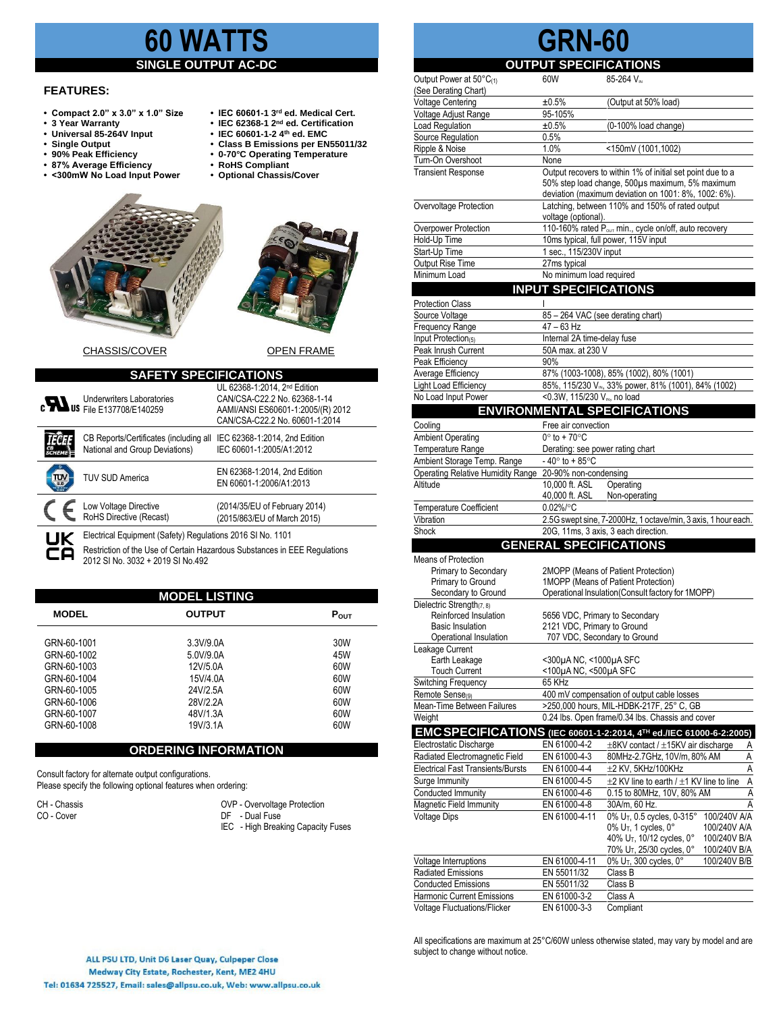# **60 WATTS**

# **SINGLE OUTPUT AC-DC**

#### **FEATURES:**

- **Compact 2.0" x 3.0" x 1.0" Size IEC 60601-1 3**
- **3 Year Warranty**<br>• **3 Year Warranty** Universal 85-264V Input
- 
- 
- 
- **87% Average Efficiency • RoHS Compliant** • <300mW No Load Input Power
- **• Universal 85-264V Input • IEC 60601-1-2 4th ed. EMC**
- **• Single Output • Class B Emissions per EN55011/32** • 0-70°C Operating Temperature<br>• RoHS Compliant

**rd ed. Medical Cert.**

**nd ed. Certification**



CHASSIS/COVER OPEN FRAME

| <b>SAFETY SPECIFICATIONS</b> |                                                                                                                                                                              |                                                                                                                                                 |  |  |  |  |
|------------------------------|------------------------------------------------------------------------------------------------------------------------------------------------------------------------------|-------------------------------------------------------------------------------------------------------------------------------------------------|--|--|--|--|
|                              | Underwriters Laboratories<br>C 37708/E140259                                                                                                                                 | UL 62368-1:2014, 2 <sup>nd</sup> Edition<br>CAN/CSA-C22.2 No. 62368-1-14<br>AAMI/ANSI ES60601-1:2005/(R) 2012<br>CAN/CSA-C22.2 No. 60601-1:2014 |  |  |  |  |
|                              | CB Reports/Certificates (including all<br>National and Group Deviations)                                                                                                     | IEC 62368-1:2014, 2nd Edition<br>IEC 60601-1:2005/A1:2012                                                                                       |  |  |  |  |
| π٦                           | TUV SUD America                                                                                                                                                              | EN 62368-1:2014, 2nd Edition<br>EN 60601-1:2006/A1:2013                                                                                         |  |  |  |  |
|                              | Low Voltage Directive<br>RoHS Directive (Recast)                                                                                                                             | (2014/35/EU of February 2014)<br>(2015/863/EU of March 2015)                                                                                    |  |  |  |  |
| UK<br>ČА                     | Electrical Equipment (Safety) Regulations 2016 SI No. 1101<br>Restriction of the Use of Certain Hazardous Substances in EEE Regulations<br>2012 SI No. 3032 + 2019 SI No.492 |                                                                                                                                                 |  |  |  |  |

|              | <b>MODEL LISTING</b> |                  |  |  |  |  |
|--------------|----------------------|------------------|--|--|--|--|
| <b>MODEL</b> | <b>OUTPUT</b>        | $P_{\text{OUT}}$ |  |  |  |  |
| GRN-60-1001  | 3.3V/9.0A            | 30W              |  |  |  |  |
| GRN-60-1002  | 5.0V/9.0A            | 45W              |  |  |  |  |
| GRN-60-1003  | 12V/5.0A             | 60W              |  |  |  |  |
| GRN-60-1004  | 15V/4.0A             | 60W              |  |  |  |  |
| GRN-60-1005  | 24V/2.5A             | 60W              |  |  |  |  |
| GRN-60-1006  | 28V/2.2A             | 60W              |  |  |  |  |
| GRN-60-1007  | 48V/1.3A             | 60W              |  |  |  |  |
| GRN-60-1008  | 19V/3.1A             | 60W              |  |  |  |  |
|              |                      |                  |  |  |  |  |

### **ORDERING INFORMATION**

Consult factory for alternate output configurations. Please specify the following optional features when ordering:

| CH - Chassis |  |
|--------------|--|
|              |  |

CH - Chassis CH - Chassis COVP - Overvoltage Protection<br>
CO - Cover<br>
OVP - Dual Fuse CO - Cover **DF** - Dual Fuse

IEC - High Breaking Capacity Fuses

# **GRN-60**

# **OUTPUT SPECIFICATIONS**

| Output Power at 50°C(1)                        | 60W                                                         | 85-264 V <sub>IN</sub>                                                          |  |
|------------------------------------------------|-------------------------------------------------------------|---------------------------------------------------------------------------------|--|
| (See Derating Chart)                           |                                                             |                                                                                 |  |
| <b>Voltage Centering</b>                       | $±0.5\%$                                                    | (Output at 50% load)                                                            |  |
| Voltage Adjust Range                           | 95-105%                                                     |                                                                                 |  |
| Load Regulation                                | ±0.5%                                                       | (0-100% load change)                                                            |  |
| Source Regulation                              | 0.5%                                                        |                                                                                 |  |
| Ripple & Noise                                 | 1.0%                                                        | $\times 150$ mV (1001,1002)                                                     |  |
| Turn-On Overshoot<br><b>Transient Response</b> | None                                                        | Output recovers to within 1% of initial set point due to a                      |  |
|                                                |                                                             | 50% step load change, 500µs maximum, 5% maximum                                 |  |
|                                                |                                                             | deviation (maximum deviation on 1001: 8%, 1002: 6%).                            |  |
| Overvoltage Protection                         |                                                             | Latching, between 110% and 150% of rated output                                 |  |
|                                                | voltage (optional).                                         |                                                                                 |  |
| Overpower Protection                           |                                                             | 110-160% rated P <sub>out</sub> min., cycle on/off, auto recovery               |  |
| Hold-Up Time                                   |                                                             | 10ms typical, full power, 115V input                                            |  |
| Start-Up Time                                  | 1 sec., 115/230V input                                      |                                                                                 |  |
| Output Rise Time                               | 27ms typical                                                |                                                                                 |  |
| Minimum Load                                   | No minimum load required                                    |                                                                                 |  |
|                                                | <b>INPUT SPECIFICATIONS</b>                                 |                                                                                 |  |
| <b>Protection Class</b>                        |                                                             |                                                                                 |  |
| Source Voltage                                 | 85 - 264 VAC (see derating chart)                           |                                                                                 |  |
| Frequency Range                                | $47 - 63$ Hz                                                |                                                                                 |  |
| Input Protection(5)                            | Internal 2A time-delay fuse                                 |                                                                                 |  |
| Peak Inrush Current                            | 50A max. at 230 V                                           |                                                                                 |  |
| Peak Efficiency                                | 90%                                                         |                                                                                 |  |
| Average Efficiency                             |                                                             | 87% (1003-1008), 85% (1002), 80% (1001)                                         |  |
| Light Load Efficiency                          |                                                             | 85%, 115/230 Vm, 33% power, 81% (1001), 84% (1002)                              |  |
| No Load Input Power                            | <0.3W, 115/230 V <sub>IN</sub> , no load                    |                                                                                 |  |
|                                                |                                                             | <b>ENVIRONMENTAL SPECIFICATIONS</b>                                             |  |
| Cooling                                        | Free air convection                                         |                                                                                 |  |
| <b>Ambient Operating</b>                       | $0^\circ$ to + 70 $^\circ$ C                                |                                                                                 |  |
| Temperature Range                              | Derating: see power rating chart                            |                                                                                 |  |
| Ambient Storage Temp. Range                    | $-40^\circ$ to $+85^\circ$ C                                |                                                                                 |  |
| Operating Relative Humidity Range              | 20-90% non-condensing                                       |                                                                                 |  |
| Altitude                                       | 10,000 ft. ASL                                              | Operating                                                                       |  |
|                                                | 40,000 ft. ASL                                              | Non-operating                                                                   |  |
| <b>Temperature Coefficient</b>                 | $0.02\%/°C$                                                 |                                                                                 |  |
| Vibration                                      |                                                             | 2.5G swept sine, 7-2000Hz, 1 octave/min, 3 axis, 1 hour each.                   |  |
| Shock                                          |                                                             | 20G, 11ms, 3 axis, 3 each direction.                                            |  |
|                                                | <b>GENERAL SPECIFICATIONS</b>                               |                                                                                 |  |
| Means of Protection                            |                                                             |                                                                                 |  |
| Primary to Secondary                           |                                                             | 2MOPP (Means of Patient Protection)                                             |  |
| Primary to Ground                              |                                                             | 1MOPP (Means of Patient Protection)                                             |  |
| Secondary to Ground                            |                                                             | Operational Insulation(Consult factory for 1MOPP)                               |  |
| Dielectric Strength(7, 8)                      |                                                             |                                                                                 |  |
| Reinforced Insulation                          | 5656 VDC, Primary to Secondary                              |                                                                                 |  |
| <b>Basic Insulation</b>                        | 2121 VDC, Primary to Ground<br>707 VDC, Secondary to Ground |                                                                                 |  |
| Operational Insulation                         |                                                             |                                                                                 |  |
| Leakage Current<br>Earth Leakage               | <300µA NC, <1000µA SFC                                      |                                                                                 |  |
| <b>Touch Current</b>                           | <100µA NC, <500µA SFC                                       |                                                                                 |  |
| Switching Frequency                            | 65 KHz                                                      |                                                                                 |  |
| Remote Sense(9)                                |                                                             | 400 mV compensation of output cable losses                                      |  |
| Mean-Time Between Failures                     |                                                             | >250,000 hours, MIL-HDBK-217F, 25° C, GB                                        |  |
| Weight                                         |                                                             | 0.24 lbs. Open frame/0.34 lbs. Chassis and cover                                |  |
|                                                |                                                             | EMC SPECIFICATIONS (IEC 60601-1-2:2014, 4 <sup>TH</sup> ed./IEC 61000-6-2:2005) |  |
| Electrostatic Discharge                        | EN 61000-4-2                                                | $\pm$ 8KV contact / $\pm$ 15KV air discharge<br><u>A</u>                        |  |
| Radiated Electromagnetic Field                 | EN 61000-4-3                                                | $\overline{A}$<br>80MHz-2.7GHz, 10V/m, 80% AM                                   |  |
| <b>Electrical Fast Transients/Bursts</b>       | EN 61000-4-4                                                | A<br>±2 KV, 5KHz/100KHz                                                         |  |
| Surge Immunity                                 | EN 61000-4-5                                                | $\overline{A}$<br>$\pm$ 2 KV line to earth / $\pm$ 1 KV line to line            |  |
| Conducted Immunity                             | EN 61000-4-6                                                | Ā<br>0.15 to 80MHz, 10V, 80% AM                                                 |  |
| Magnetic Field Immunity                        | EN 61000-4-8                                                | 30A/m, 60 Hz.<br>A                                                              |  |
| <b>Voltage Dips</b>                            | EN 61000-4-11                                               | 0% U <sub>T</sub> , 0.5 cycles, 0-315°<br>100/240V A/A                          |  |
|                                                |                                                             | 0% U <sub>T</sub> , 1 cycles, 0°<br>100/240V A/A                                |  |
|                                                |                                                             | 40% U <sub>T</sub> , 10/12 cycles, 0°<br>100/240V B/A                           |  |
|                                                |                                                             | 70% U <sub>T</sub> , 25/30 cycles, 0°<br>100/240V B/A                           |  |
| Voltage Interruptions                          | EN 61000-4-11                                               | 0% U <sub>T</sub> , 300 cycles, 0°<br>100/240V B/B                              |  |
| Radiated Emissions                             | EN 55011/32                                                 | Class B                                                                         |  |
| <b>Conducted Emissions</b>                     | EN 55011/32                                                 | Class B                                                                         |  |
| Harmonic Current Emissions                     | EN 61000-3-2                                                | Class A                                                                         |  |
| Voltage Fluctuations/Flicker                   | EN 61000-3-3                                                | Compliant                                                                       |  |

All specifications are maximum at 25°C/60W unless otherwise stated, may vary by model and are subject to change without notice.